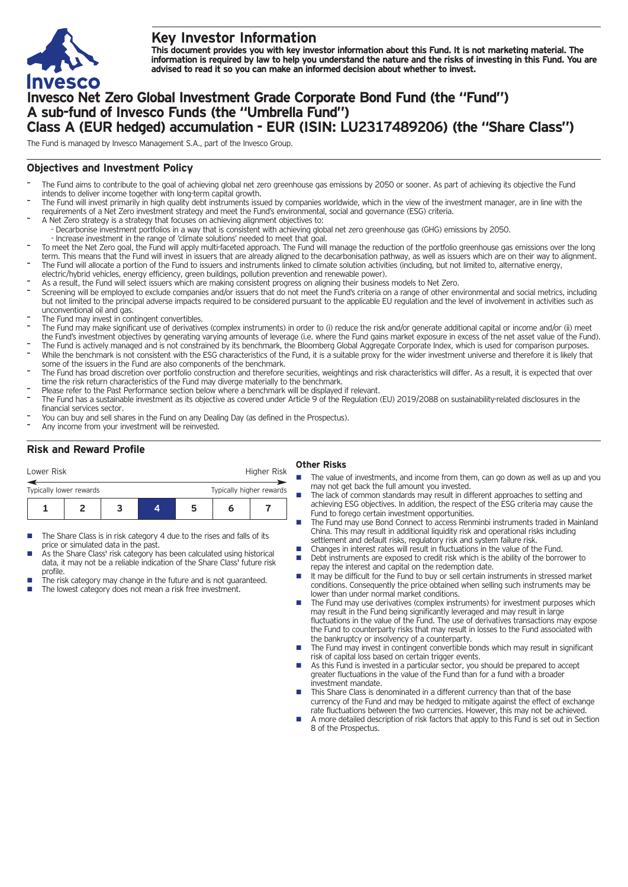

# **Key Investor Information**

This document provides you with key investor information about this Fund. It is not marketing material. The information is required by law to help you understand the nature and the risks of investing in this Fund. You are **advised to read it so you can make an informed decision about whether to invest.**

# **Invesco Net Zero Global Investment Grade Corporate Bond Fund (the "Fund") A sub-fund of Invesco Funds (the "Umbrella Fund") Class A (EUR hedged) accumulation - EUR (ISIN: LU2317489206) (the "Share Class")**

The Fund is managed by Invesco Management S.A., part of the Invesco Group.

## **Objectives and Investment Policy**

- The Fund aims to contribute to the goal of achieving global net zero greenhouse gas emissions by 2050 or sooner. As part of achieving its objective the Fund intends to deliver income together with long-term capital growth.
- The Fund will invest primarily in high quality debt instruments issued by companies worldwide, which in the view of the investment manager, are in line with the requirements of a Net Zero investment strategy and meet the Fund's environmental, social and governance (ESG) criteria.
- A Net Zero strategy is a strategy that focuses on achieving alignment objectives to: - Decarbonise investment portfolios in a way that is consistent with achieving global net zero greenhouse gas (GHG) emissions by 2050.
- Increase investment in the range of 'climate solutions' needed to meet that goal.
- To meet the Net Zero goal, the Fund will apply multi-faceted approach. The Fund will manage the reduction of the portfolio greenhouse gas emissions over the long term. This means that the Fund will invest in issuers that are already aligned to the decarbonisation pathway, as well as issuers which are on their way to alignment. The Fund will allocate a portion of the Fund to issuers and instruments linked to climate solution activities (including, but not limited to, alternative energy,
- electric/hybrid vehicles, energy efficiency, green buildings, pollution prevention and renewable power).
- As a result, the Fund will select issuers which are making consistent progress on aligning their business models to Net Zero.
- Screening will be employed to exclude companies and/or issuers that do not meet the Fund's criteria on a range of other environmental and social metrics, including but not limited to the principal adverse impacts required to be considered pursuant to the applicable EU regulation and the level of involvement in activities such as unconventional oil and gas.
- The Fund may invest in contingent convertibles.
- The Fund may make significant use of derivatives (complex instruments) in order to (i) reduce the risk and/or generate additional capital or income and/or (ii) meet the Fund's investment objectives by generating varying amounts of leverage (i.e. where the Fund gains market exposure in excess of the net asset value of the Fund).
- The Fund is actively managed and is not constrained by its benchmark, the Bloomberg Global Aggregate Corporate Index, which is used for comparison purposes. While the benchmark is not consistent with the ESG characteristics of the Fund, it is a suitable proxy for the wider investment universe and therefore it is likely that some of the issuers in the Fund are also components of the benchmark.
- The Fund has broad discretion over portfolio construction and therefore securities, weightings and risk characteristics will differ. As a result, it is expected that over time the risk return characteristics of the Fund may diverge materially to the benchmark.
- Please refer to the Past Performance section below where a benchmark will be displayed if relevant.
- The Fund has a sustainable investment as its objective as covered under Article 9 of the Regulation (EU) 2019/2088 on sustainability-related disclosures in the financial services sector.
- You can buy and sell shares in the Fund on any Dealing Day (as defined in the Prospectus).
- Any income from your investment will be reinvested.

## **Risk and Reward Profile**

| Lower Risk                                          |  |  |  |   | Higher Risk |  |
|-----------------------------------------------------|--|--|--|---|-------------|--|
| Typically higher rewards<br>Typically lower rewards |  |  |  |   |             |  |
|                                                     |  |  |  | ∽ |             |  |

- The Share Class is in risk category 4 due to the rises and falls of its price or simulated data in the past.
- As the Share Class' risk category has been calculated using historical data, it may not be a reliable indication of the Share Class' future risk profile.
- The risk category may change in the future and is not guaranteed. The lowest category does not mean a risk free investment.

### **Other Risks**

- The value of investments, and income from them, can go down as well as up and you may not get back the full amount you invested.
- The lack of common standards may result in different approaches to setting and achieving ESG objectives. In addition, the respect of the ESG criteria may cause the Fund to forego certain investment opportunities.
- The Fund may use Bond Connect to access Renminbi instruments traded in Mainland China. This may result in additional liquidity risk and operational risks including settlement and default risks, regulatory risk and system failure risk.
- Changes in interest rates will result in fluctuations in the value of the Fund.<br>■ Debt instruments are exposed to credit risk which is the ability of the borre
- Debt instruments are exposed to credit risk which is the ability of the borrower to repay the interest and capital on the redemption date.
- $\blacksquare$  It may be difficult for the Fund to buy or sell certain instruments in stressed market conditions. Consequently the price obtained when selling such instruments may be lower than under normal market conditions.
- The Fund may use derivatives (complex instruments) for investment purposes which may result in the Fund being significantly leveraged and may result in large fluctuations in the value of the Fund. The use of derivatives transactions may expose the Fund to counterparty risks that may result in losses to the Fund associated with the bankruptcy or insolvency of a counterparty.
- The Fund may invest in contingent convertible bonds which may result in significant risk of capital loss based on certain trigger events.
- n As this Fund is invested in a particular sector, you should be prepared to accept greater fluctuations in the value of the Fund than for a fund with a broader investment mandate.
- This Share Class is denominated in a different currency than that of the base currency of the Fund and may be hedged to mitigate against the effect of exchange rate fluctuations between the two currencies. However, this may not be achieved.
- n A more detailed description of risk factors that apply to this Fund is set out in Section 8 of the Prospectus.